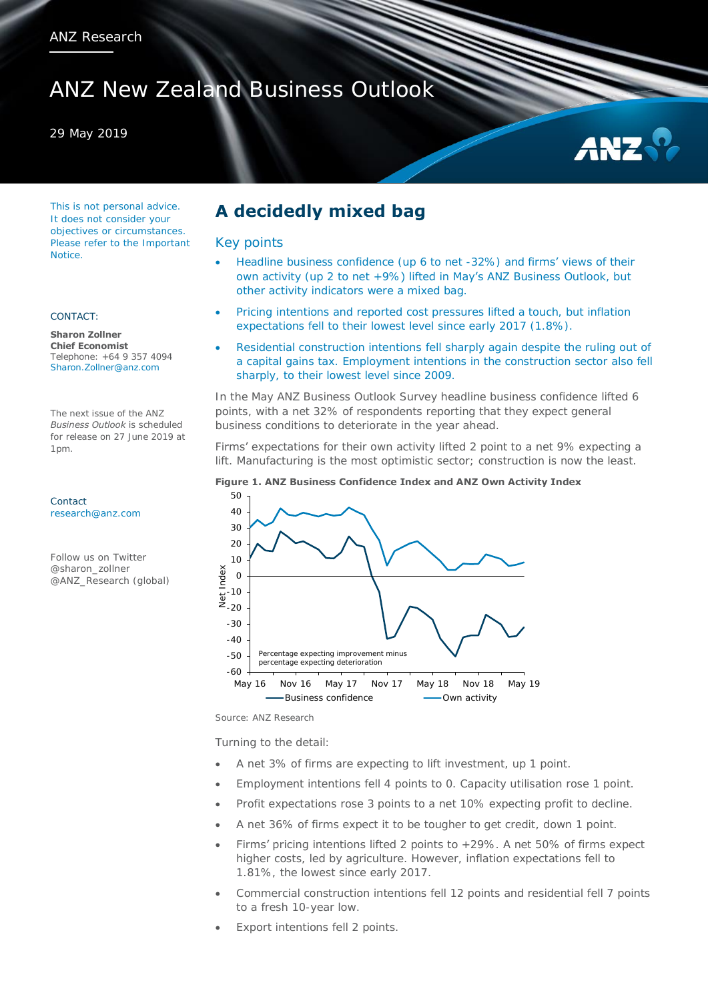# ANZ New Zealand Business Outlook

### 29 May 2019



This is not personal advice. It does not consider your objectives or circumstances. Please refer to the Important Notice.

#### CONTACT:

**Sharon Zollner Chief Economist**  Telephone: +64 9 357 4094 Sharon.Zollner@anz.com

The next issue of the ANZ *Business Outlook* is scheduled for release on 27 June 2019 at 1pm.

Contact [research@anz.com](mailto:research@anz.com)

Follow us on Twitter @sharon\_zollner @ANZ\_Research (global)

## **A decidedly mixed bag**

#### Key points

- Headline business confidence (up 6 to net -32%) and firms' views of their own activity (up 2 to net  $+9\%$ ) lifted in May's ANZ Business Outlook, but other activity indicators were a mixed bag.
- Pricing intentions and reported cost pressures lifted a touch, but inflation expectations fell to their lowest level since early 2017 (1.8%).
- Residential construction intentions fell sharply again despite the ruling out of a capital gains tax. Employment intentions in the construction sector also fell sharply, to their lowest level since 2009.

In the May ANZ Business Outlook Survey headline business confidence lifted 6 points, with a net 32% of respondents reporting that they expect general business conditions to deteriorate in the year ahead.

Firms' expectations for their own activity lifted 2 point to a net 9% expecting a lift. Manufacturing is the most optimistic sector; construction is now the least.

#### **Figure 1. ANZ Business Confidence Index and ANZ Own Activity Index**



Source: ANZ Research

Turning to the detail:

- A net 3% of firms are expecting to lift investment, up 1 point.
- Employment intentions fell 4 points to 0. Capacity utilisation rose 1 point.
- Profit expectations rose 3 points to a net 10% expecting profit to decline.
- A net 36% of firms expect it to be tougher to get credit, down 1 point.
- Firms' pricing intentions lifted 2 points to +29%. A net 50% of firms expect higher costs, led by agriculture. However, inflation expectations fell to 1.81%, the lowest since early 2017.
- Commercial construction intentions fell 12 points and residential fell 7 points to a fresh 10-year low.
- Export intentions fell 2 points.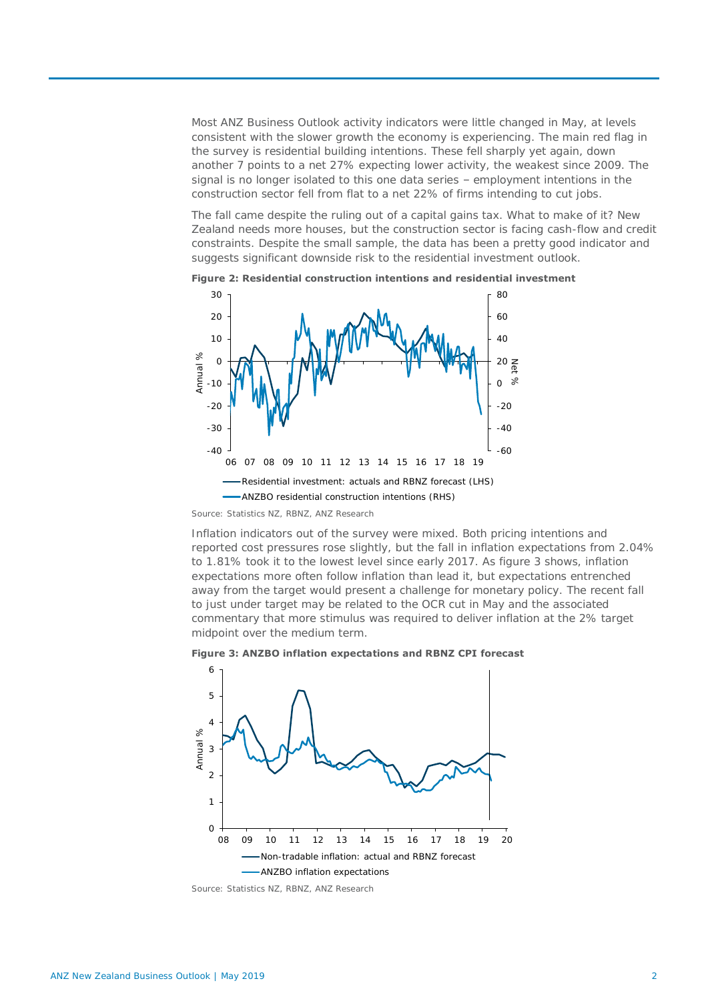Most ANZ Business Outlook activity indicators were little changed in May, at levels consistent with the slower growth the economy is experiencing. The main red flag in the survey is residential building intentions. These fell sharply yet again, down another 7 points to a net 27% expecting lower activity, the weakest since 2009. The signal is no longer isolated to this one data series – employment intentions in the construction sector fell from flat to a net 22% of firms intending to cut jobs.

The fall came despite the ruling out of a capital gains tax. What to make of it? New Zealand needs more houses, but the construction sector is facing cash-flow and credit constraints. Despite the small sample, the data has been a pretty good indicator and suggests significant downside risk to the residential investment outlook.



**Figure 2: Residential construction intentions and residential investment** 

Inflation indicators out of the survey were mixed. Both pricing intentions and reported cost pressures rose slightly, but the fall in inflation expectations from 2.04% to 1.81% took it to the lowest level since early 2017. As figure 3 shows, inflation expectations more often follow inflation than lead it, but expectations entrenched away from the target would present a challenge for monetary policy. The recent fall to just under target may be related to the OCR cut in May and the associated commentary that more stimulus was required to deliver inflation at the 2% target midpoint over the medium term.

**Figure 3: ANZBO inflation expectations and RBNZ CPI forecast** 



Source: Statistics NZ, RBNZ, ANZ Research

Source: Statistics NZ, RBNZ, ANZ Research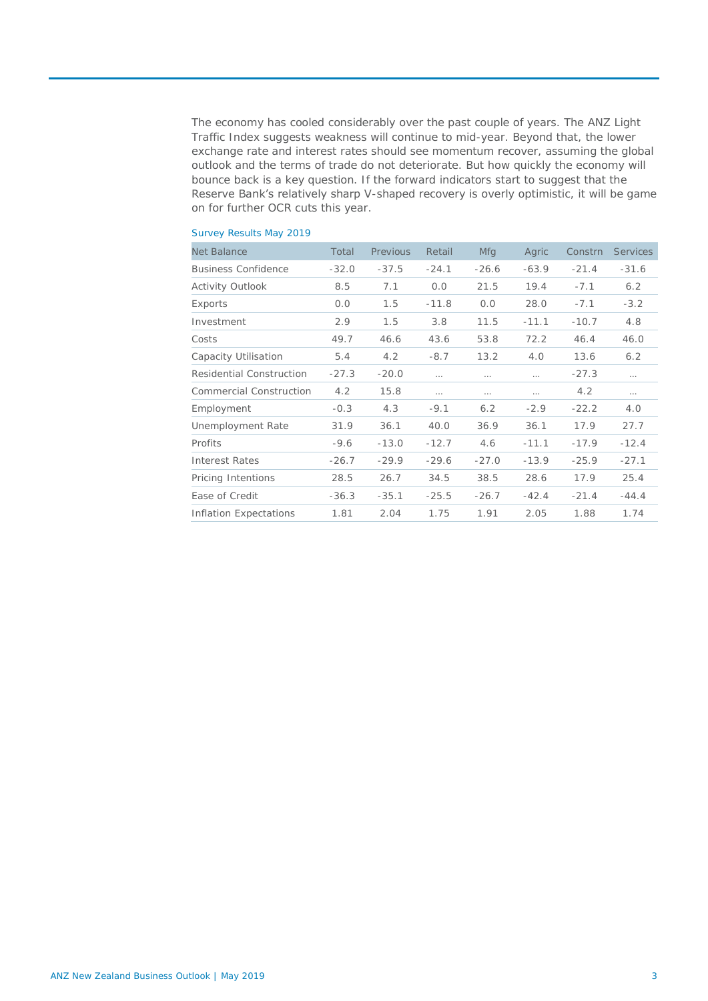The economy has cooled considerably over the past couple of years. The ANZ Light Traffic Index suggests weakness will continue to mid-year. Beyond that, the lower exchange rate and interest rates should see momentum recover, assuming the global outlook and the terms of trade do not deteriorate. But how quickly the economy will bounce back is a key question. If the forward indicators start to suggest that the Reserve Bank's relatively sharp V-shaped recovery is overly optimistic, it will be game on for further OCR cuts this year.

| Net Balance                    | Total   | Previous | Retail   | <b>Mfg</b> | Agric    | Constrn | <b>Services</b> |
|--------------------------------|---------|----------|----------|------------|----------|---------|-----------------|
| <b>Business Confidence</b>     | $-32.0$ | $-37.5$  | $-24.1$  | $-26.6$    | $-63.9$  | $-21.4$ | $-31.6$         |
| Activity Outlook               | 8.5     | 7.1      | O.O      | 21.5       | 19.4     | $-7.1$  | 6.2             |
| Exports                        | 0.0     | 1.5      | $-11.8$  | O.O        | 28.0     | $-7.1$  | $-3.2$          |
| Investment                     | 2.9     | 1.5      | 3.8      | 11.5       | $-11.1$  | $-10.7$ | 4.8             |
| Costs                          | 49.7    | 46.6     | 43.6     | 53.8       | 72.2     | 46.4    | 46.0            |
| Capacity Utilisation           | 5.4     | 4.2      | $-8.7$   | 13.2       | 4.0      | 13.6    | 6.2             |
| Residential Construction       | $-27.3$ | $-20.0$  | $\cdots$ | $\cdots$   |          | $-27.3$ | $\cdots$        |
| <b>Commercial Construction</b> | 4.2     | 15.8     | $\cdots$ | $\cdots$   | $\cdots$ | 4.2     | $\cdots$        |
| Employment                     | $-0.3$  | 4.3      | $-9.1$   | 6.2        | $-2.9$   | $-22.2$ | 4.0             |
| Unemployment Rate              | 31.9    | 36.1     | 40.0     | 36.9       | 36.1     | 17.9    | 27.7            |
| Profits                        | $-9.6$  | $-13.0$  | $-12.7$  | 4.6        | $-11.1$  | $-17.9$ | $-12.4$         |
| Interest Rates                 | $-26.7$ | $-29.9$  | $-29.6$  | $-27.0$    | $-13.9$  | $-25.9$ | $-27.1$         |
| Pricing Intentions             | 28.5    | 26.7     | 34.5     | 38.5       | 28.6     | 17.9    | 25.4            |
| Ease of Credit                 | $-36.3$ | $-35.1$  | $-25.5$  | $-26.7$    | $-42.4$  | $-21.4$ | $-44.4$         |
| Inflation Expectations         | 1.81    | 2.04     | 1.75     | 1.91       | 2.05     | 1.88    | 1.74            |

#### Survey Results May 2019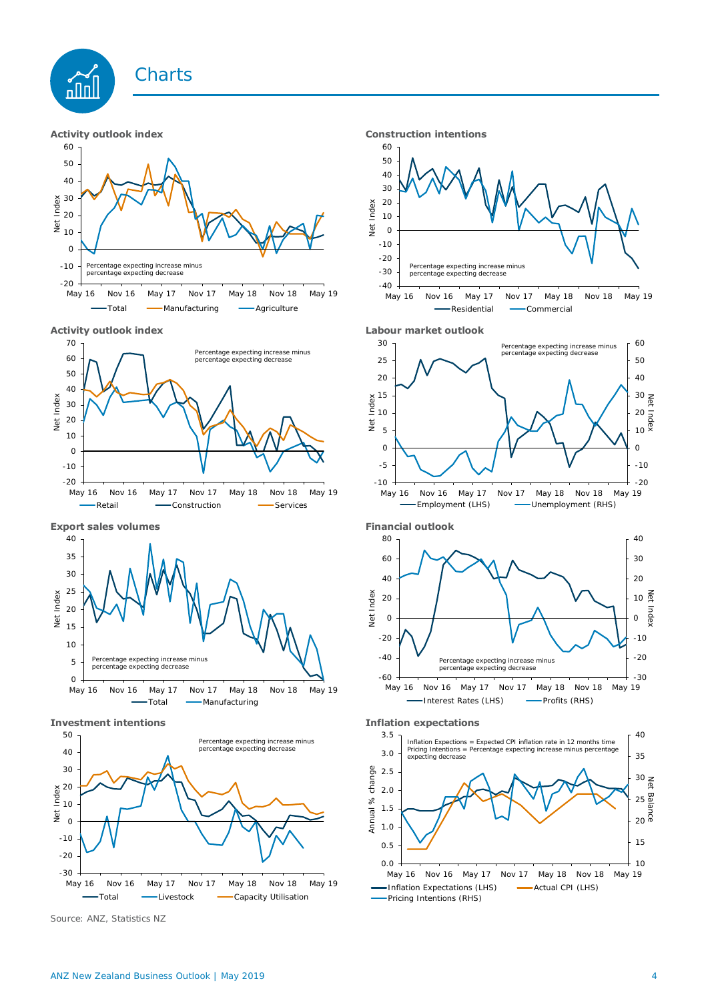# **Charts**

#### **Activity outlook index CONSIDER 10 TENS CONSTRUCTED INTENSION CONSTRUCTED ATTACKS**



**Activity outlook index Labour market outlook**









Source: ANZ, Statistics NZ









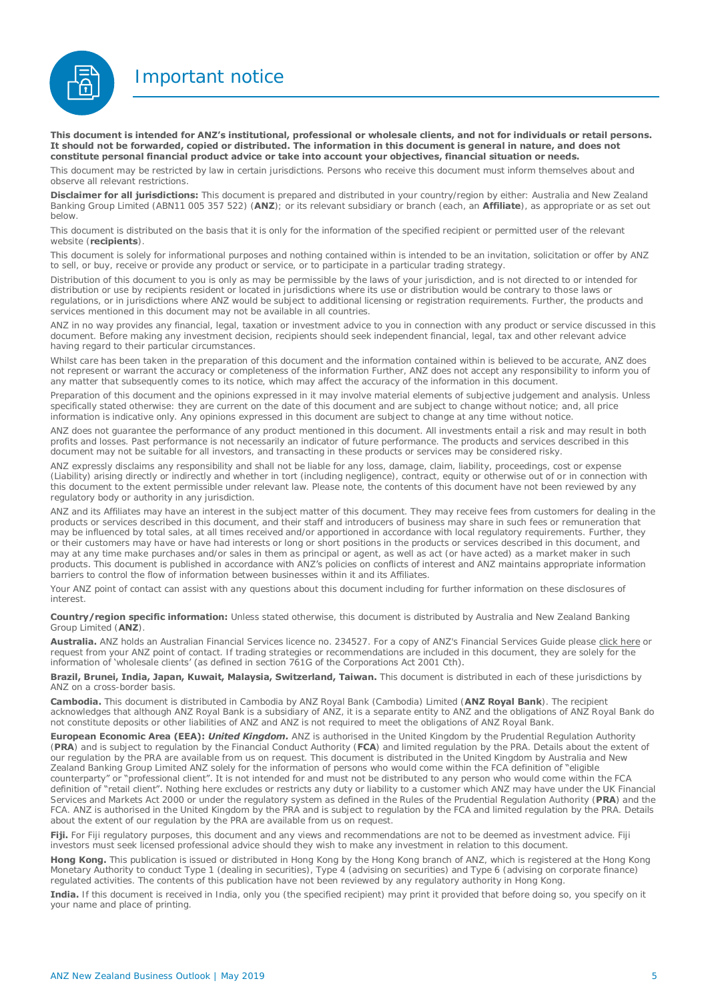Important notice



**This document is intended for ANZ's institutional, professional or wholesale clients, and not for individuals or retail persons. It should not be forwarded, copied or distributed. The information in this document is general in nature, and does not constitute personal financial product advice or take into account your objectives, financial situation or needs.** 

This document may be restricted by law in certain jurisdictions. Persons who receive this document must inform themselves about and observe all relevant restrictions.

**Disclaimer for all jurisdictions:** This document is prepared and distributed in your country/region by either: Australia and New Zealand Banking Group Limited (ABN11 005 357 522) (**ANZ**); or its relevant subsidiary or branch (each, an **Affiliate**), as appropriate or as set out below.

This document is distributed on the basis that it is only for the information of the specified recipient or permitted user of the relevant website (**recipients**).

This document is solely for informational purposes and nothing contained within is intended to be an invitation, solicitation or offer by ANZ to sell, or buy, receive or provide any product or service, or to participate in a particular trading strategy.

Distribution of this document to you is only as may be permissible by the laws of your jurisdiction, and is not directed to or intended for distribution or use by recipients resident or located in jurisdictions where its use or distribution would be contrary to those laws or regulations, or in jurisdictions where ANZ would be subject to additional licensing or registration requirements. Further, the products and services mentioned in this document may not be available in all countries.

ANZ in no way provides any financial, legal, taxation or investment advice to you in connection with any product or service discussed in this document. Before making any investment decision, recipients should seek independent financial, legal, tax and other relevant advice having regard to their particular circumstances.

Whilst care has been taken in the preparation of this document and the information contained within is believed to be accurate. ANZ does not represent or warrant the accuracy or completeness of the information Further, ANZ does not accept any responsibility to inform you of any matter that subsequently comes to its notice, which may affect the accuracy of the information in this document.

Preparation of this document and the opinions expressed in it may involve material elements of subjective judgement and analysis. Unless specifically stated otherwise: they are current on the date of this document and are subject to change without notice; and, all price information is indicative only. Any opinions expressed in this document are subject to change at any time without notice.

ANZ does not guarantee the performance of any product mentioned in this document. All investments entail a risk and may result in both profits and losses. Past performance is not necessarily an indicator of future performance. The products and services described in this document may not be suitable for all investors, and transacting in these products or services may be considered risky.

ANZ expressly disclaims any responsibility and shall not be liable for any loss, damage, claim, liability, proceedings, cost or expense (Liability) arising directly or indirectly and whether in tort (including negligence), contract, equity or otherwise out of or in connection with this document to the extent permissible under relevant law. Please note, the contents of this document have not been reviewed by any regulatory body or authority in any jurisdiction.

ANZ and its Affiliates may have an interest in the subject matter of this document. They may receive fees from customers for dealing in the products or services described in this document, and their staff and introducers of business may share in such fees or remuneration that may be influenced by total sales, at all times received and/or apportioned in accordance with local regulatory requirements. Further, they or their customers may have or have had interests or long or short positions in the products or services described in this document, and may at any time make purchases and/or sales in them as principal or agent, as well as act (or have acted) as a market maker in such products. This document is published in accordance with ANZ's policies on conflicts of interest and ANZ maintains appropriate information barriers to control the flow of information between businesses within it and its Affiliates.

Your ANZ point of contact can assist with any questions about this document including for further information on these disclosures of interest.

**Country/region specific information:** Unless stated otherwise, this document is distributed by Australia and New Zealand Banking Group Limited (**ANZ**).

**Australia.** ANZ holds an Australian Financial Services licence no. 234527. For a copy of ANZ's Financial Services Guide please [click here o](http://www.anz.com/documents/AU/aboutANZ/FinancialServicesGuide.pdf)r request from your ANZ point of contact. If trading strategies or recommendations are included in this document, they are solely for the information of 'wholesale clients' (as defined in section 761G of the Corporations Act 2001 Cth).

**Brazil, Brunei, India, Japan, Kuwait, Malaysia, Switzerland, Taiwan.** This document is distributed in each of these jurisdictions by ANZ on a cross-border basis.

**Cambodia.** This document is distributed in Cambodia by ANZ Royal Bank (Cambodia) Limited (**ANZ Royal Bank**). The recipient acknowledges that although ANZ Royal Bank is a subsidiary of ANZ, it is a separate entity to ANZ and the obligations of ANZ Royal Bank do not constitute deposits or other liabilities of ANZ and ANZ is not required to meet the obligations of ANZ Royal Bank.

**European Economic Area (EEA):** *United Kingdom.* ANZ is authorised in the United Kingdom by the Prudential Regulation Authority (**PRA**) and is subject to regulation by the Financial Conduct Authority (**FCA**) and limited regulation by the PRA. Details about the extent of our regulation by the PRA are available from us on request. This document is distributed in the United Kingdom by Australia and New Zealand Banking Group Limited ANZ solely for the information of persons who would come within the FCA defi**nition of "eligible** counterparty" or "professional client". It is not intended for and must not be distributed to any person who would come within the FCA definition of "retail client". Nothing here excludes or restricts any duty or liability to a customer which ANZ may have under the UK Financial Services and Markets Act 2000 or under the regulatory system as defined in the Rules of the Prudential Regulation Authority (**PRA**) and the FCA. ANZ is authorised in the United Kingdom by the PRA and is subject to regulation by the FCA and limited regulation by the PRA. Details about the extent of our regulation by the PRA are available from us on request

**Fiji.** For Fiji regulatory purposes, this document and any views and recommendations are not to be deemed as investment advice. Fiji investors must seek licensed professional advice should they wish to make any investment in relation to this document.

**Hong Kong.** This publication is issued or distributed in Hong Kong by the Hong Kong branch of ANZ, which is registered at the Hong Kong Monetary Authority to conduct Type 1 (dealing in securities), Type 4 (advising on securities) and Type 6 (advising on corporate finance) regulated activities. The contents of this publication have not been reviewed by any regulatory authority in Hong Kong.

**India.** If this document is received in India, only you (the specified recipient) may print it provided that before doing so, you specify on it your name and place of printing.